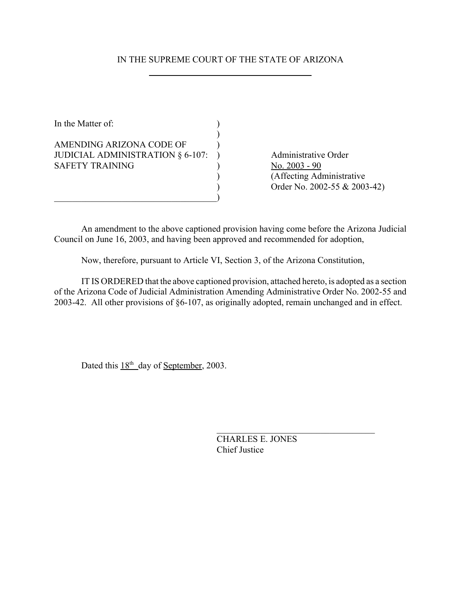# IN THE SUPREME COURT OF THE STATE OF ARIZONA

In the Matter of:  $\qquad \qquad$  )  $\mathcal{L}$ AMENDING ARIZONA CODE OF  $\qquad$  ) JUDICIAL ADMINISTRATION § 6-107: ) Administrative Order SAFETY TRAINING  $\qquad \qquad$  ) No. 2003 - 90

 $\qquad \qquad \qquad \qquad \qquad \qquad \qquad$ 

) (Affecting Administrative ) Order No. 2002-55 & 2003-42)

An amendment to the above captioned provision having come before the Arizona Judicial Council on June 16, 2003, and having been approved and recommended for adoption,

Now, therefore, pursuant to Article VI, Section 3, of the Arizona Constitution,

IT IS ORDERED that the above captioned provision, attached hereto, is adopted as a section of the Arizona Code of Judicial Administration Amending Administrative Order No. 2002-55 and 2003-42. All other provisions of §6-107, as originally adopted, remain unchanged and in effect.

Dated this  $18<sup>th</sup>$  day of <u>September</u>, 2003.

CHARLES E. JONES Chief Justice

 $\mathcal{L}_\text{max}$  , where  $\mathcal{L}_\text{max}$  and  $\mathcal{L}_\text{max}$  and  $\mathcal{L}_\text{max}$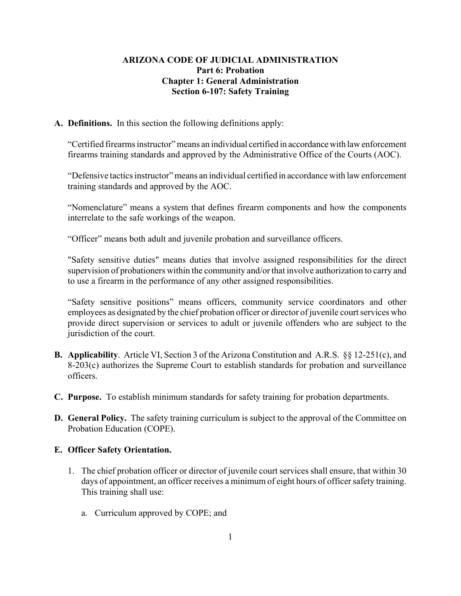## **ARIZONA CODE OF JUDICIAL ADMINISTRATION Part 6: Probation Chapter 1: General Administration Section 6-107: Safety Training**

#### **A. Definitions.** In this section the following definitions apply:

"Certified firearms instructor" means an individual certified in accordance with law enforcement firearms training standards and approved by the Administrative Office of the Courts (AOC).

"Defensive tactics instructor" means an individual certified in accordance with law enforcement training standards and approved by the AOC.

"Nomenclature" means a system that defines firearm components and how the components interrelate to the safe workings of the weapon.

"Officer" means both adult and juvenile probation and surveillance officers.

"Safety sensitive duties" means duties that involve assigned responsibilities for the direct supervision of probationers within the community and/or that involve authorization to carry and to use a firearm in the performance of any other assigned responsibilities.

"Safety sensitive positions" means officers, community service coordinators and other employees as designated by the chief probation officer or director of juvenile court services who provide direct supervision or services to adult or juvenile offenders who are subject to the jurisdiction of the court.

- **B. Applicability**. Article VI, Section 3 of the Arizona Constitution and A.R.S. §§ 12-251(c), and 8-203(c) authorizes the Supreme Court to establish standards for probation and surveillance officers.
- **C. Purpose.** To establish minimum standards for safety training for probation departments.
- **D. General Policy.** The safety training curriculum is subject to the approval of the Committee on Probation Education (COPE).

### **E. Officer Safety Orientation.**

- 1. The chief probation officer or director of juvenile court services shall ensure, that within 30 days of appointment, an officer receives a minimum of eight hours of officer safety training. This training shall use:
	- a. Curriculum approved by COPE; and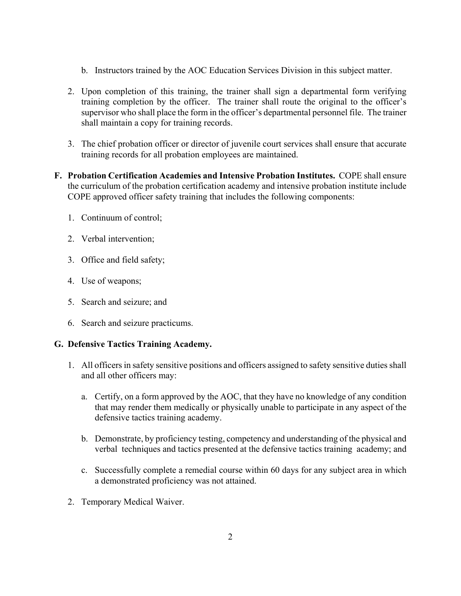- b. Instructors trained by the AOC Education Services Division in this subject matter.
- 2. Upon completion of this training, the trainer shall sign a departmental form verifying training completion by the officer. The trainer shall route the original to the officer's supervisor who shall place the form in the officer's departmental personnel file. The trainer shall maintain a copy for training records.
- 3. The chief probation officer or director of juvenile court services shall ensure that accurate training records for all probation employees are maintained.
- **F. Probation Certification Academies and Intensive Probation Institutes.** COPE shall ensure the curriculum of the probation certification academy and intensive probation institute include COPE approved officer safety training that includes the following components:
	- 1. Continuum of control;
	- 2. Verbal intervention;
	- 3. Office and field safety;
	- 4. Use of weapons;
	- 5. Search and seizure; and
	- 6. Search and seizure practicums.

### **G. Defensive Tactics Training Academy.**

- 1. All officers in safety sensitive positions and officers assigned to safety sensitive duties shall and all other officers may:
	- a. Certify, on a form approved by the AOC, that they have no knowledge of any condition that may render them medically or physically unable to participate in any aspect of the defensive tactics training academy.
	- b. Demonstrate, by proficiency testing, competency and understanding of the physical and verbal techniques and tactics presented at the defensive tactics training academy; and
	- c. Successfully complete a remedial course within 60 days for any subject area in which a demonstrated proficiency was not attained.
- 2. Temporary Medical Waiver.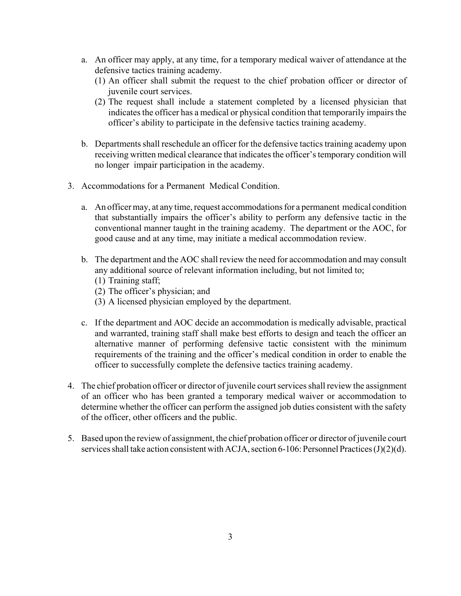- a. An officer may apply, at any time, for a temporary medical waiver of attendance at the defensive tactics training academy.
	- (1) An officer shall submit the request to the chief probation officer or director of juvenile court services.
	- (2) The request shall include a statement completed by a licensed physician that indicates the officer has a medical or physical condition that temporarily impairs the officer's ability to participate in the defensive tactics training academy.
- b. Departments shall reschedule an officer for the defensive tactics training academy upon receiving written medical clearance that indicates the officer's temporary condition will no longer impair participation in the academy.
- 3. Accommodations for a Permanent Medical Condition.
	- a. An officer may, at any time, request accommodations for a permanent medical condition that substantially impairs the officer's ability to perform any defensive tactic in the conventional manner taught in the training academy. The department or the AOC, for good cause and at any time, may initiate a medical accommodation review.
	- b. The department and the AOC shall review the need for accommodation and may consult any additional source of relevant information including, but not limited to;
		- (1) Training staff;
		- (2) The officer's physician; and
		- (3) A licensed physician employed by the department.
	- c. If the department and AOC decide an accommodation is medically advisable, practical and warranted, training staff shall make best efforts to design and teach the officer an alternative manner of performing defensive tactic consistent with the minimum requirements of the training and the officer's medical condition in order to enable the officer to successfully complete the defensive tactics training academy.
- 4. The chief probation officer or director of juvenile court services shall review the assignment of an officer who has been granted a temporary medical waiver or accommodation to determine whether the officer can perform the assigned job duties consistent with the safety of the officer, other officers and the public.
- 5. Based upon the review of assignment, the chief probation officer or director of juvenile court services shall take action consistent with ACJA, section 6-106: Personnel Practices (J)(2)(d).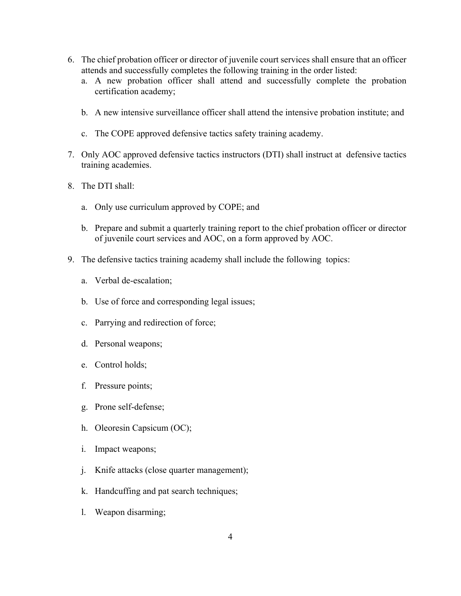- 6. The chief probation officer or director of juvenile court services shall ensure that an officer attends and successfully completes the following training in the order listed:
	- a. A new probation officer shall attend and successfully complete the probation certification academy;
	- b. A new intensive surveillance officer shall attend the intensive probation institute; and
	- c. The COPE approved defensive tactics safety training academy.
- 7. Only AOC approved defensive tactics instructors (DTI) shall instruct at defensive tactics training academies.
- 8. The DTI shall:
	- a. Only use curriculum approved by COPE; and
	- b. Prepare and submit a quarterly training report to the chief probation officer or director of juvenile court services and AOC, on a form approved by AOC.
- 9. The defensive tactics training academy shall include the following topics:
	- a. Verbal de-escalation;
	- b. Use of force and corresponding legal issues;
	- c. Parrying and redirection of force;
	- d. Personal weapons;
	- e. Control holds;
	- f. Pressure points;
	- g. Prone self-defense;
	- h. Oleoresin Capsicum (OC);
	- i. Impact weapons;
	- j. Knife attacks (close quarter management);
	- k. Handcuffing and pat search techniques;
	- l. Weapon disarming;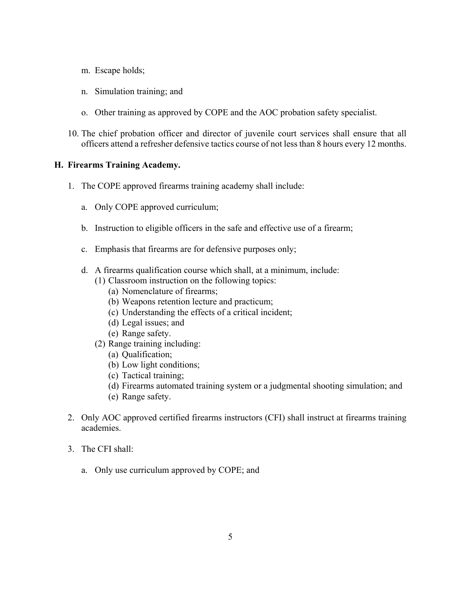- m. Escape holds;
- n. Simulation training; and
- o. Other training as approved by COPE and the AOC probation safety specialist.
- 10. The chief probation officer and director of juvenile court services shall ensure that all officers attend a refresher defensive tactics course of not less than 8 hours every 12 months.

#### **H. Firearms Training Academy.**

- 1. The COPE approved firearms training academy shall include:
	- a. Only COPE approved curriculum;
	- b. Instruction to eligible officers in the safe and effective use of a firearm;
	- c. Emphasis that firearms are for defensive purposes only;
	- d. A firearms qualification course which shall, at a minimum, include:
		- (1) Classroom instruction on the following topics:
			- (a) Nomenclature of firearms;
			- (b) Weapons retention lecture and practicum;
			- (c) Understanding the effects of a critical incident;
			- (d) Legal issues; and
			- (e) Range safety.
		- (2) Range training including:
			- (a) Qualification;
			- (b) Low light conditions;
			- (c) Tactical training;
			- (d) Firearms automated training system or a judgmental shooting simulation; and
			- (e) Range safety.
- 2. Only AOC approved certified firearms instructors (CFI) shall instruct at firearms training academies.
- 3. The CFI shall:
	- a. Only use curriculum approved by COPE; and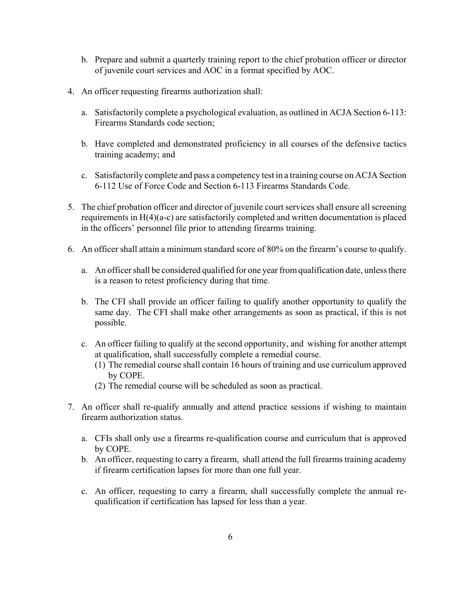- b. Prepare and submit a quarterly training report to the chief probation officer or director of juvenile court services and AOC in a format specified by AOC.
- 4. An officer requesting firearms authorization shall:
	- a. Satisfactorily complete a psychological evaluation, as outlined in ACJA Section 6-113: Firearms Standards code section;
	- b. Have completed and demonstrated proficiency in all courses of the defensive tactics training academy; and
	- c. Satisfactorily complete and pass a competency test in a training course on ACJA Section 6-112 Use of Force Code and Section 6-113 Firearms Standards Code.
- 5. The chief probation officer and director of juvenile court services shall ensure all screening requirements in H(4)(a-c) are satisfactorily completed and written documentation is placed in the officers' personnel file prior to attending firearms training.
- 6. An officer shall attain a minimum standard score of 80% on the firearm's course to qualify.
	- a. An officer shall be considered qualified for one year from qualification date, unless there is a reason to retest proficiency during that time.
	- b. The CFI shall provide an officer failing to qualify another opportunity to qualify the same day. The CFI shall make other arrangements as soon as practical, if this is not possible.
	- c. An officer failing to qualify at the second opportunity, and wishing for another attempt at qualification, shall successfully complete a remedial course.
		- (1) The remedial course shall contain 16 hours of training and use curriculum approved by COPE.
		- (2) The remedial course will be scheduled as soon as practical.
- 7. An officer shall re-qualify annually and attend practice sessions if wishing to maintain firearm authorization status.
	- a. CFIs shall only use a firearms re-qualification course and curriculum that is approved by COPE.
	- b. An officer, requesting to carry a firearm, shall attend the full firearms training academy if firearm certification lapses for more than one full year.
	- c. An officer, requesting to carry a firearm, shall successfully complete the annual requalification if certification has lapsed for less than a year.